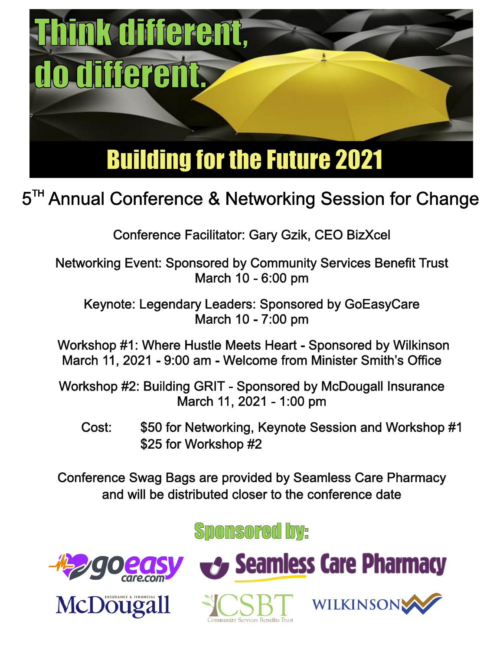

# 5<sup>TH</sup> Annual Conference & Networking Session for Change

**Conference Facilitator: Gary Gzik, CEO BizXcel** 

**Networking Event: Sponsored by Community Services Benefit Trust** March 10 - 6:00 pm

Keynote: Legendary Leaders: Sponsored by GoEasyCare March 10 - 7:00 pm

Workshop #1: Where Hustle Meets Heart - Sponsored by Wilkinson March 11, 2021 - 9:00 am - Welcome from Minister Smith's Office

Workshop #2: Building GRIT - Sponsored by McDougall Insurance March 11, 2021 - 1:00 pm

\$50 for Networking, Keynote Session and Workshop #1 Cost: \$25 for Workshop #2

**Conference Swag Bags are provided by Seamless Care Pharmacy** and will be distributed closer to the conference date

**Sponsored by:**